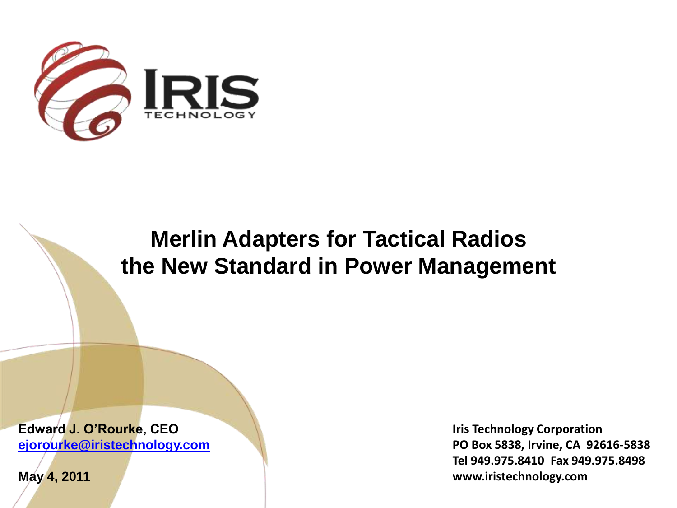

### **Merlin Adapters for Tactical Radios the New Standard in Power Management**

**Edward J. O'Rourke, CEO [ejorourke@iristechnology.com](mailto:ejorourke@iristechnology.com)**

**May 4, 2011**

**Iris Technology Corporation PO Box 5838, Irvine, CA 92616-5838 Tel 949.975.8410 Fax 949.975.8498 www.iristechnology.com**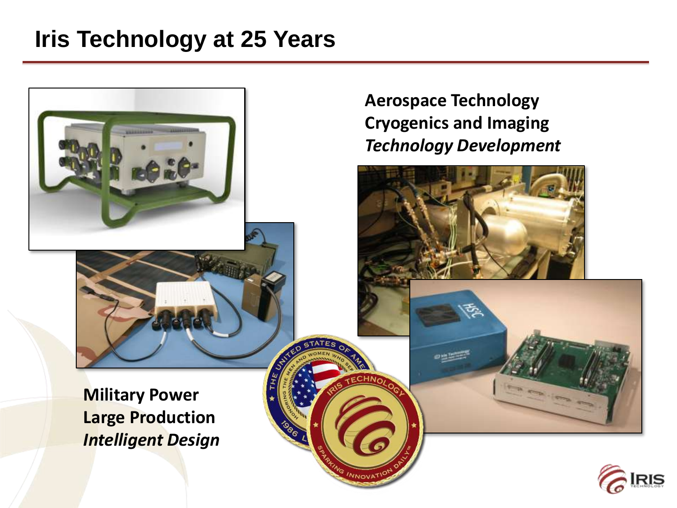### **Iris Technology at 25 Years**

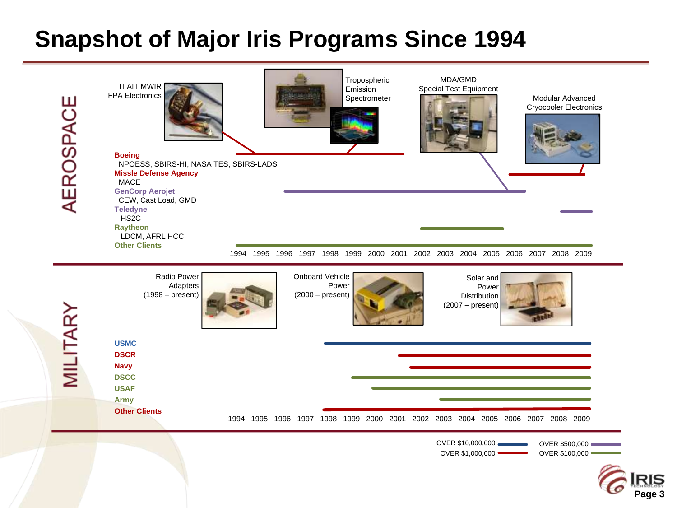### **Snapshot of Major Iris Programs Since 1994**



**Page 3**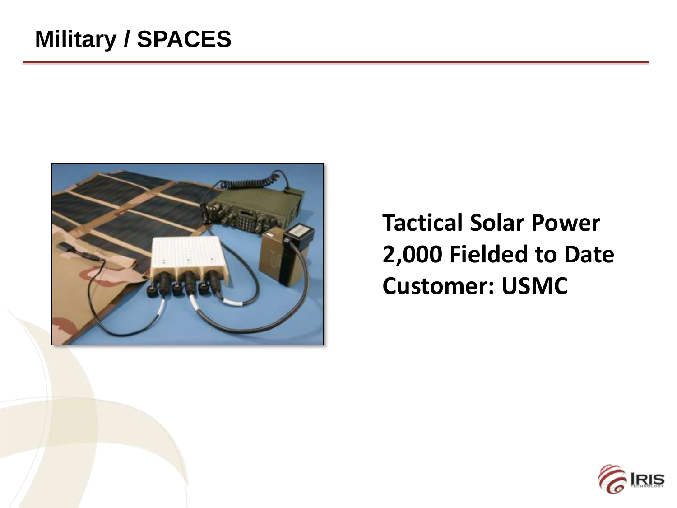

## **Tactical Solar Power 2,000 Fielded to Date Customer: USMC**

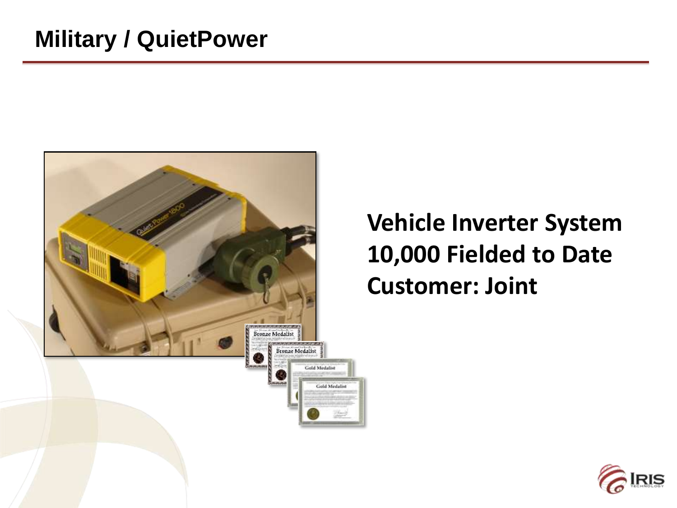

# **Vehicle Inverter System 10,000 Fielded to Date Customer: Joint**

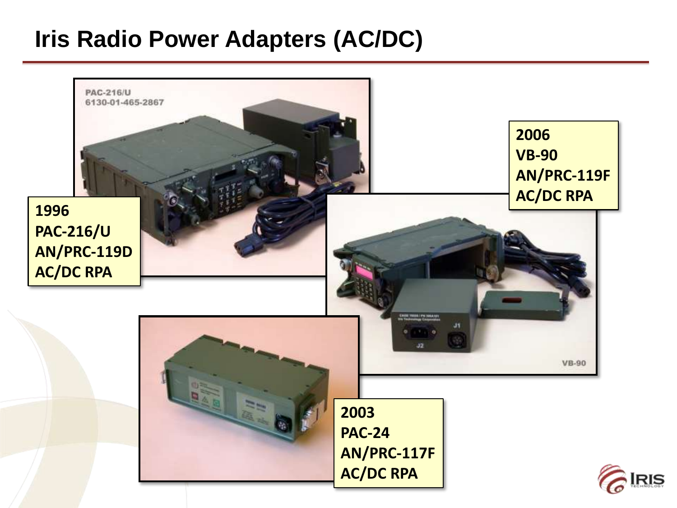### **Iris Radio Power Adapters (AC/DC)**

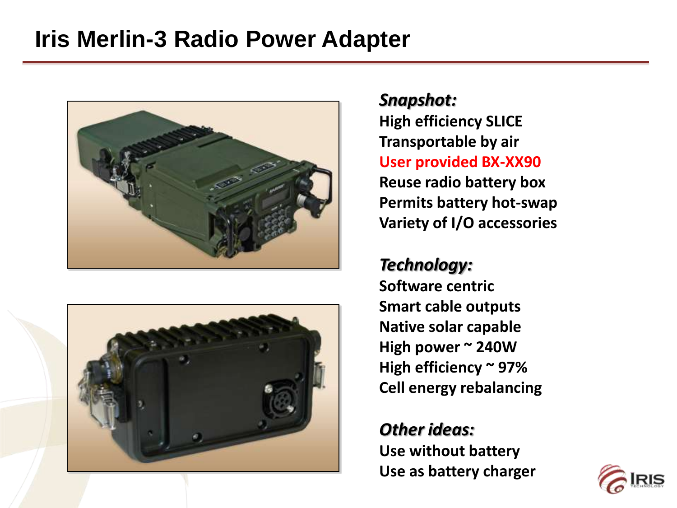### **Iris Merlin-3 Radio Power Adapter**





*Snapshot:* **High efficiency SLICE Transportable by air User provided BX-XX90 Reuse radio battery box Permits battery hot-swap Variety of I/O accessories**

#### *Technology:*

**Software centric Smart cable outputs Native solar capable High power ~ 240W High efficiency ~ 97% Cell energy rebalancing**

### *Other ideas:*

**Use without battery Use as battery charger**

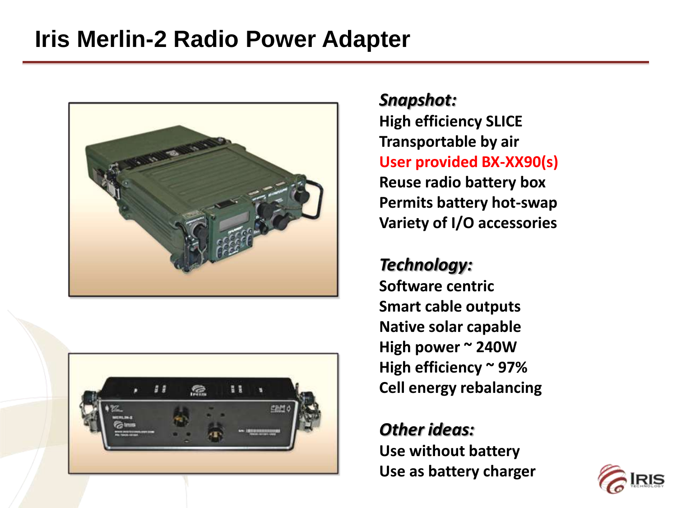### **Iris Merlin-2 Radio Power Adapter**





*Snapshot:* **High efficiency SLICE Transportable by air User provided BX-XX90(s) Reuse radio battery box Permits battery hot-swap Variety of I/O accessories**

#### *Technology:*

**Software centric Smart cable outputs Native solar capable High power ~ 240W High efficiency ~ 97% Cell energy rebalancing**

#### *Other ideas:*

**Use without battery Use as battery charger**

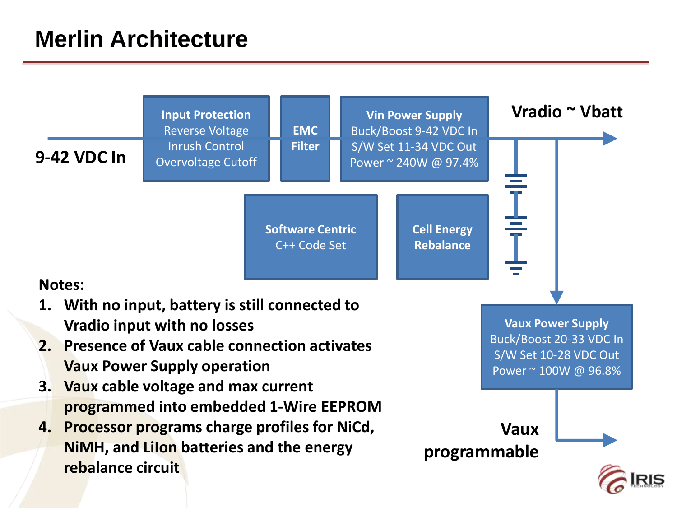### **Merlin Architecture**

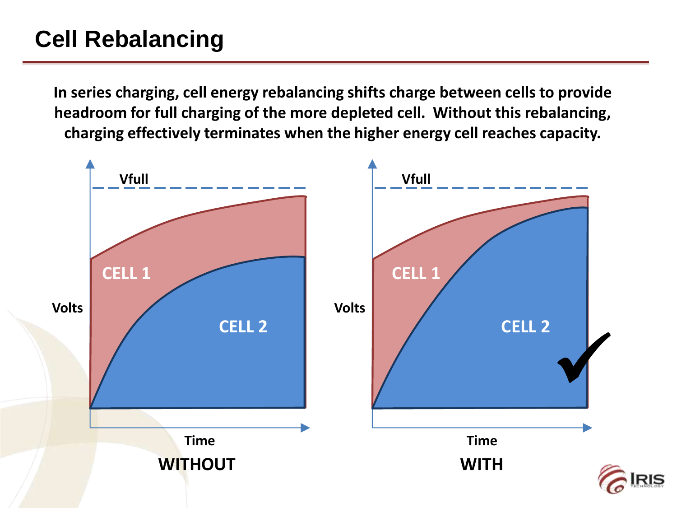## **Cell Rebalancing**

**In series charging, cell energy rebalancing shifts charge between cells to provide headroom for full charging of the more depleted cell. Without this rebalancing, charging effectively terminates when the higher energy cell reaches capacity.**

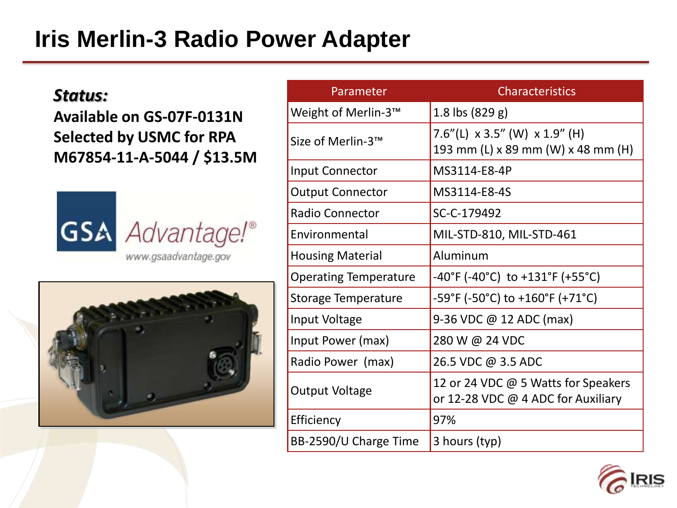### **Iris Merlin-3 Radio Power Adapter**

#### *Status:*

**Available on GS-07F-0131N Selected by USMC for RPA M67854-11-A-5044 / \$13.5M**





| Parameter                    | <b>Characteristics</b>                                                            |
|------------------------------|-----------------------------------------------------------------------------------|
| Weight of Merlin-3™          | 1.8 lbs (829 g)                                                                   |
| Size of Merlin-3™            | 7.6"(L) $\times$ 3.5" (W) $\times$ 1.9" (H)<br>193 mm (L) x 89 mm (W) x 48 mm (H) |
| <b>Input Connector</b>       | MS3114-E8-4P                                                                      |
| <b>Output Connector</b>      | MS3114-E8-4S                                                                      |
| Radio Connector              | SC-C-179492                                                                       |
| Environmental                | MIL-STD-810, MIL-STD-461                                                          |
| <b>Housing Material</b>      | Aluminum                                                                          |
| <b>Operating Temperature</b> | $-40^{\circ}$ F (-40°C) to +131°F (+55°C)                                         |
| <b>Storage Temperature</b>   | -59°F (-50°C) to +160°F (+71°C)                                                   |
| Input Voltage                | 9-36 VDC @ 12 ADC (max)                                                           |
| Input Power (max)            | 280 W @ 24 VDC                                                                    |
| Radio Power (max)            | 26.5 VDC @ 3.5 ADC                                                                |
| <b>Output Voltage</b>        | 12 or 24 VDC @ 5 Watts for Speakers<br>or 12-28 VDC @ 4 ADC for Auxiliary         |
| Efficiency                   | 97%                                                                               |
| BB-2590/U Charge Time        | 3 hours (typ)                                                                     |

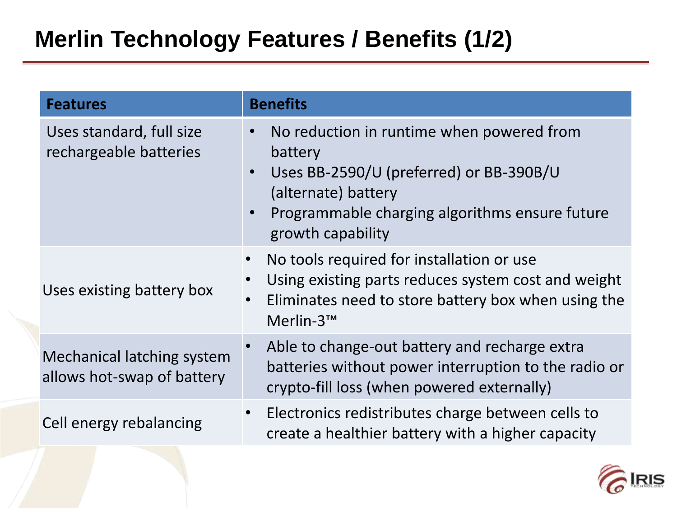| <b>Features</b>                                                 | <b>Benefits</b>                                                                                                                                                                                |
|-----------------------------------------------------------------|------------------------------------------------------------------------------------------------------------------------------------------------------------------------------------------------|
| Uses standard, full size<br>rechargeable batteries              | No reduction in runtime when powered from<br>battery<br>Uses BB-2590/U (preferred) or BB-390B/U<br>(alternate) battery<br>Programmable charging algorithms ensure future<br>growth capability  |
| Uses existing battery box                                       | No tools required for installation or use<br>$\bullet$<br>Using existing parts reduces system cost and weight<br>Eliminates need to store battery box when using the<br>$\bullet$<br>Merlin-3™ |
| <b>Mechanical latching system</b><br>allows hot-swap of battery | Able to change-out battery and recharge extra<br>$\bullet$<br>batteries without power interruption to the radio or<br>crypto-fill loss (when powered externally)                               |
| Cell energy rebalancing                                         | Electronics redistributes charge between cells to<br>$\bullet$<br>create a healthier battery with a higher capacity                                                                            |

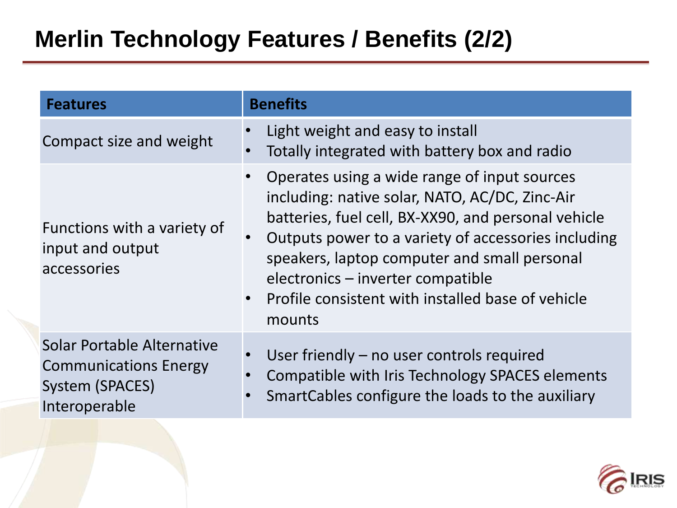| <b>Features</b>                                                                                | <b>Benefits</b>                                                                                                                                                                                                                                                                                                                                                               |
|------------------------------------------------------------------------------------------------|-------------------------------------------------------------------------------------------------------------------------------------------------------------------------------------------------------------------------------------------------------------------------------------------------------------------------------------------------------------------------------|
| Compact size and weight                                                                        | Light weight and easy to install<br>Totally integrated with battery box and radio                                                                                                                                                                                                                                                                                             |
| Functions with a variety of<br>input and output<br>accessories                                 | Operates using a wide range of input sources<br>including: native solar, NATO, AC/DC, Zinc-Air<br>batteries, fuel cell, BX-XX90, and personal vehicle<br>Outputs power to a variety of accessories including<br>speakers, laptop computer and small personal<br>electronics - inverter compatible<br>Profile consistent with installed base of vehicle<br>$\bullet$<br>mounts |
| Solar Portable Alternative<br><b>Communications Energy</b><br>System (SPACES)<br>Interoperable | User friendly – no user controls required<br>Compatible with Iris Technology SPACES elements<br>SmartCables configure the loads to the auxiliary                                                                                                                                                                                                                              |